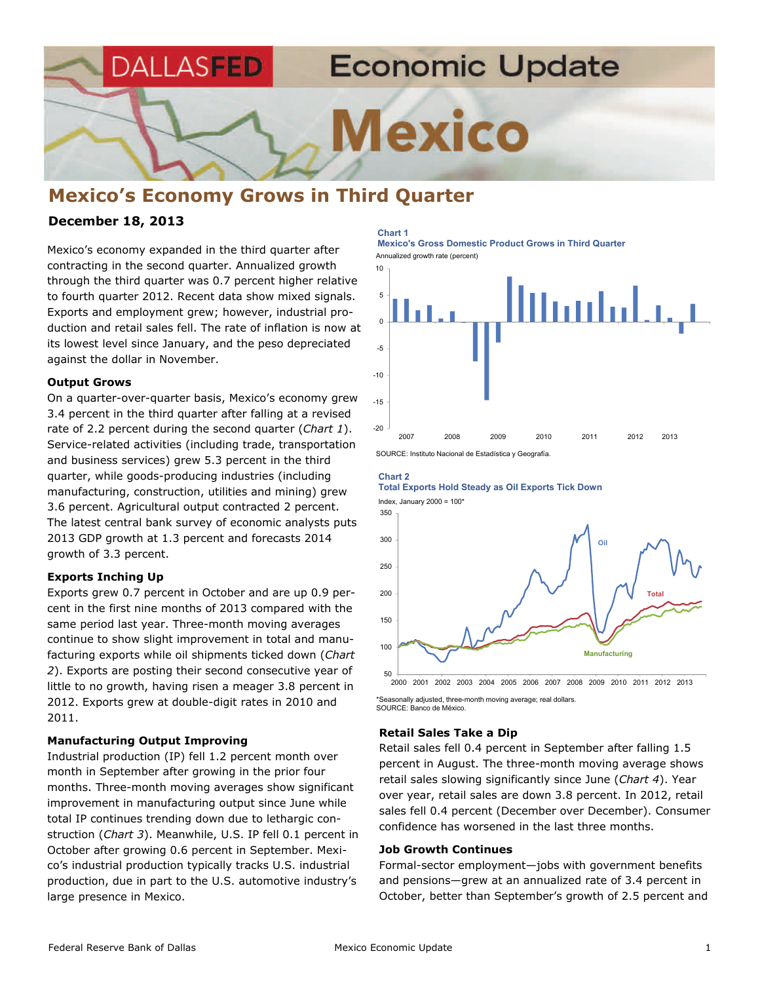**Economic Update** DALLASFED **Mexico** 

# **Mexico's Economy Grows in Third Quarter**

# **December 18, 2013**

Mexico's economy expanded in the third quarter after contracting in the second quarter. Annualized growth through the third quarter was 0.7 percent higher relative to fourth quarter 2012. Recent data show mixed signals. Exports and employment grew; however, industrial production and retail sales fell. The rate of inflation is now at its lowest level since January, and the peso depreciated against the dollar in November.

### **Output Grows**

On a quarter-over-quarter basis, Mexico's economy grew 3.4 percent in the third quarter after falling at a revised rate of 2.2 percent during the second quarter (*Chart 1*). Service-related activities (including trade, transportation and business services) grew 5.3 percent in the third quarter, while goods-producing industries (including manufacturing, construction, utilities and mining) grew 3.6 percent. Agricultural output contracted 2 percent. The latest central bank survey of economic analysts puts 2013 GDP growth at 1.3 percent and forecasts 2014 growth of 3.3 percent.

## **Exports Inching Up**

Exports grew 0.7 percent in October and are up 0.9 percent in the first nine months of 2013 compared with the same period last year. Three-month moving averages continue to show slight improvement in total and manufacturing exports while oil shipments ticked down (*Chart 2*). Exports are posting their second consecutive year of little to no growth, having risen a meager 3.8 percent in 2012. Exports grew at double-digit rates in 2010 and 2011.

## **Manufacturing Output Improving**

Industrial production (IP) fell 1.2 percent month over month in September after growing in the prior four months. Three-month moving averages show significant improvement in manufacturing output since June while total IP continues trending down due to lethargic construction (*Chart 3*). Meanwhile, U.S. IP fell 0.1 percent in October after growing 0.6 percent in September. Mexico's industrial production typically tracks U.S. industrial production, due in part to the U.S. automotive industry's large presence in Mexico.

#### **Chart 1**

Annualized growth rate (percent) **Mexico's Gross Domestic Product Grows in Third Quarter** 



SOURCE: Instituto Nacional de Estadística y Geografía.

# 300 350 **Chart 2 Total Exports Hold Steady as Oil Exports Tick Down**  Index, January 2000 =  $100*$ **Oil**



\*Seasonally adjusted, three-month moving average; real dollars. SOURCE: Banco de México.

### **Retail Sales Take a Dip**

Retail sales fell 0.4 percent in September after falling 1.5 percent in August. The three-month moving average shows retail sales slowing significantly since June (*Chart 4*). Year over year, retail sales are down 3.8 percent. In 2012, retail sales fell 0.4 percent (December over December). Consumer confidence has worsened in the last three months.

### **Job Growth Continues**

Formal-sector employment—jobs with government benefits and pensions—grew at an annualized rate of 3.4 percent in October, better than September's growth of 2.5 percent and